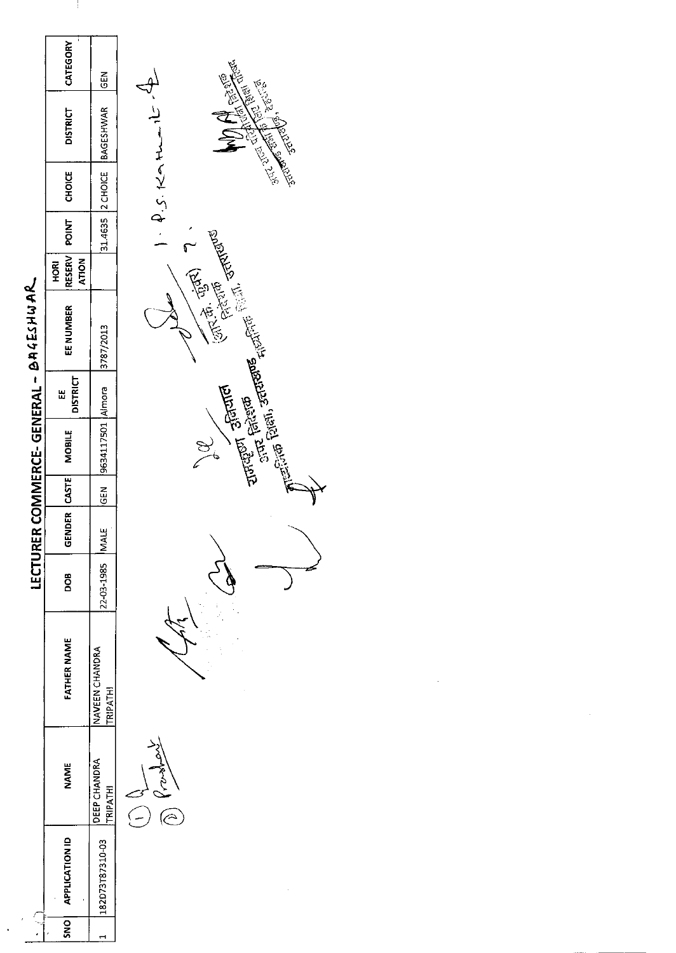|                                       | CATEGORY                                    | 6EN                               |                                          |
|---------------------------------------|---------------------------------------------|-----------------------------------|------------------------------------------|
|                                       | <b>DISTRICT</b>                             | BAGESHWAR                         | All All property<br>$1.9.5.$ Kather 12.4 |
|                                       | <b>CHOICE</b>                               | 31.4635 2 CHOICE                  |                                          |
|                                       | <b>FOINT</b>                                |                                   |                                          |
|                                       | <b>RESERV</b><br><b>ATION</b><br><b>ROH</b> |                                   |                                          |
| LECTURER COMMERCE-GENERAL - BA4ESHUAR | EE NUMBER                                   | 3787/2013                         | $\frac{1}{2}$ (on the light) 7           |
|                                       | <b>DISTRICT</b><br>Щ                        |                                   |                                          |
|                                       | <b>MOBILE</b>                               | 9634117501 Almora                 |                                          |
|                                       | <b>CASTE</b>                                | GEN                               |                                          |
|                                       | ENDER                                       | <b>MALE</b>                       |                                          |
|                                       | <b>BOO</b>                                  | 22-03-1985                        |                                          |
|                                       | <b>FATHER NAME</b>                          | NAVEEN CHANDRA<br><b>TRIPATHI</b> |                                          |
|                                       | <b>NAME</b>                                 | DEEP CHANDRA<br><b>TRIPATHI</b>   |                                          |
|                                       | <b>APPLICATION ID</b>                       | 182073187310-03                   |                                          |
|                                       | SNO                                         |                                   |                                          |

 $\ddot{\phantom{0}}$ 

÷,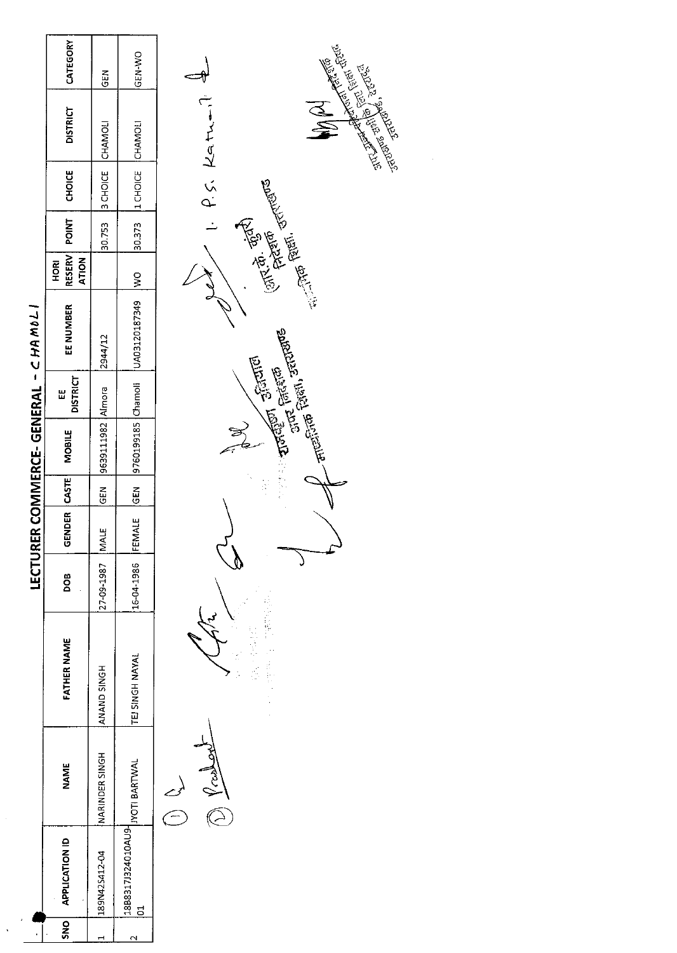|                                | CATEGORY                 | <b>ABD</b>                | GEN-VO                                                   |  |
|--------------------------------|--------------------------|---------------------------|----------------------------------------------------------|--|
|                                | <b>DISTRICT</b>          |                           |                                                          |  |
|                                | <b>CHOICE</b>            | 30.753 3 CHOICE CHAMOLI   | 30.373  1 CHOICE CHAMOLI                                 |  |
|                                | RESERV POINT             |                           |                                                          |  |
|                                | <b>ATION</b><br>HORI     |                           |                                                          |  |
| ER COMMERCE-GENERAL - < HANOLI | EE NUMBER                |                           | FEMALE   GEN   9760199185   Chamoli   UA03120187349   WO |  |
|                                | <b>DISTRICT</b><br>Ш     |                           |                                                          |  |
|                                | <b>MOBILE</b>            | 9639111982 Almora 2944/12 |                                                          |  |
|                                |                          | $rac{5}{65}$              |                                                          |  |
|                                | GENDER CASTE             |                           |                                                          |  |
| LECTURI                        | 80d                      | 27-09-1987 MALE           | 16-04-1986                                               |  |
|                                | <b>FATHER NAME</b>       | ANAND SINGH               | TEJ SINGH NAYAL                                          |  |
|                                | <b>NAME</b>              | NARINDER SINGH            | <b>IYOTI BARTWAL</b>                                     |  |
|                                | <b>APPLICATION ID</b>    | 189N425412-04             | 18B8317J324010AU9-                                       |  |
|                                | $\overline{\frac{1}{2}}$ |                           |                                                          |  |

 $\ddot{\phantom{1}}$ 

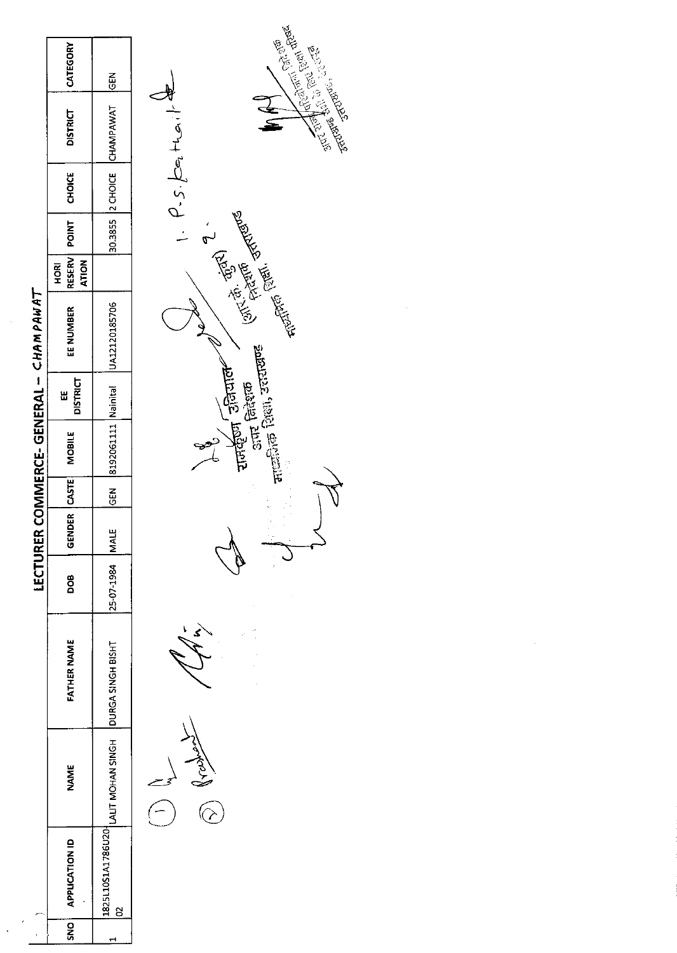|                              |                                                                        |                       | LECTUREI   |                     |             |                      | R COMMERCE-GENERAL - CHAMPAWAT      |                                       |       |        |                            |             |  |
|------------------------------|------------------------------------------------------------------------|-----------------------|------------|---------------------|-------------|----------------------|-------------------------------------|---------------------------------------|-------|--------|----------------------------|-------------|--|
| <b>APPLICATION ID</b><br>SNO | <b>NAME</b>                                                            | <b>FATHER NAME</b>    | 800        | GENDER CASTE MOBILE |             | <b>DISTRICT</b><br>Ш | EE NUMBER                           | <b>RESERV</b><br><b>ATION</b><br>HORI | POINT | CHOICE | <b>DISTRICT</b>            | CATEGORY    |  |
|                              | 1825110S1A1786U20 <sup>1</sup>   LALIT MOHAN SINGH   DURGA SINGH BISHT |                       | 25-07-1984 | <b>IMALE</b>        | $rac{1}{2}$ |                      | 8192061111 Nainital   UA12120185706 |                                       |       |        | 30.3855 2 CHOICE CHAMPAWAT | $rac{5}{6}$ |  |
|                              | $\widehat{Q}$                                                          | $\mathbf{x}^{\prime}$ |            |                     |             |                      |                                     | المنظيم                               |       |        | $P.5.$ for the i           |             |  |

 $\bar{\phantom{a}}$  $\ddot{\phantom{0}}$ 

**Community of the Property of Schools**  $\frac{1}{2}$ **Turitori Sicilian Maria (Silvich digital digital digital digital digital digital digital digital digital digital digital digital digital digital digital digital digital digital digital digital digital digital digital digi** Augh  $\overline{\mathcal{L}}$ ر

 $\frac{1}{2}$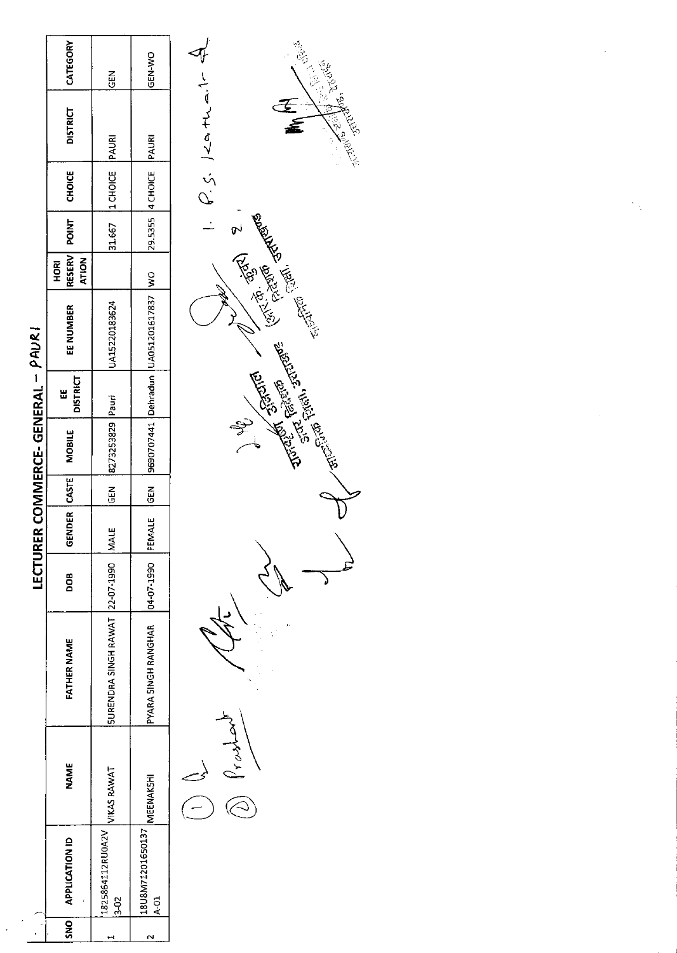|                                   | CATEGORY                   | GEN                             | GEN-WO                                           |
|-----------------------------------|----------------------------|---------------------------------|--------------------------------------------------|
|                                   | <b>DISTRICT</b>            |                                 |                                                  |
|                                   | <b>CHOICE</b>              | 31.667 1CHOICE PAURI            | 29.5355 4 CHOICE PAURI                           |
|                                   | RESERV POINT               |                                 |                                                  |
|                                   | <b>ATION</b><br><b>ROH</b> |                                 |                                                  |
|                                   | EE NUMBER                  | UA15220183624                   | FEMALE GEN 9690707441 Dehradun UA051201617837 WO |
|                                   | <b>DISTRICT</b><br>出       |                                 |                                                  |
| LECTURER COMMERCE-GENERAL - PAVRI | GENDER CASTE MOBILE        | GEN 8273253829 Pauri            |                                                  |
|                                   |                            |                                 |                                                  |
|                                   |                            | ¦<br>≦                          |                                                  |
|                                   | DOB                        |                                 |                                                  |
|                                   | FATHER NAME                | SURENDRA SINGH RAWAT 22-07-1990 | PYARA SINGH RANGHAR   04-07-1990                 |
|                                   | NAME                       | VIKAS RAWAT                     | MEENAK5HI                                        |
|                                   | <b>APPLICATION ID</b>      | 1825864112RU0A2V<br>$3 - 02$    | 18U8M71201650137<br>$4 - 01$                     |
|                                   | <b>SNO</b>                 |                                 |                                                  |

 $\ddot{\phantom{0}}$ 

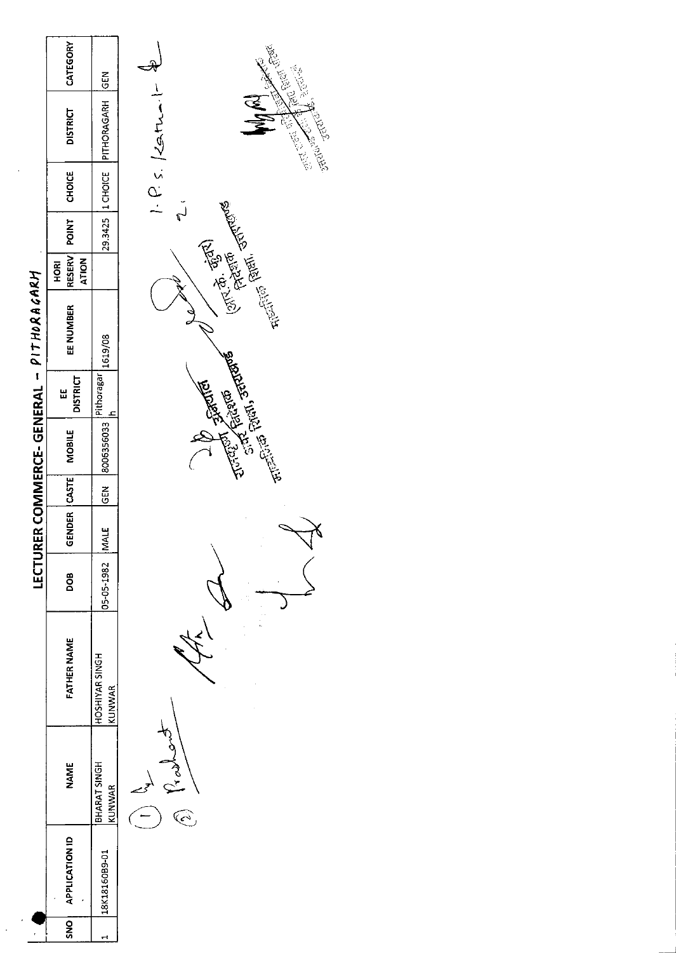|                                           | CATEGORY                                     | <b>K3D</b>               | Contraction of the                                                           |
|-------------------------------------------|----------------------------------------------|--------------------------|------------------------------------------------------------------------------|
|                                           | <b>DISTRICT</b>                              | PITHORAGARH              | Red Marie Red France<br>$1. P. s.$ /catu- $1-$<br><b>AN WA</b>               |
|                                           | <b>CHOICE</b>                                | 29.3425  1 CHOICE        |                                                                              |
|                                           | <b>POINT</b>                                 |                          |                                                                              |
|                                           | <b>RESERV</b><br><b>ATION</b><br><b>HORI</b> |                          |                                                                              |
| LECTURER COMMERCE- GENERAL - PITHORA GARH | EE NUMBER                                    | 1619/08                  | <b>2017-2019</b><br>(2017-2019)<br>1918-1919 (2011)<br>1919-1919 (2011)      |
|                                           | <b>DISTRICT</b><br>ᇤ                         | Pithoragar               |                                                                              |
|                                           | <b>MOBILE</b>                                | 8006356033               | بتلانيتين يعهد فتناديها وكالتقليم والمتفاهيم<br><b>Contract of Science 1</b> |
|                                           | ENDER CASTE                                  | <b>GEN</b>               |                                                                              |
|                                           |                                              | <b>MALE</b>              |                                                                              |
|                                           | BOG                                          | 05-05-1982               |                                                                              |
|                                           | <b>FATHER NAME</b>                           | HOSHIYAR SINGH<br>KUNWAR |                                                                              |
|                                           | <b>NAME</b>                                  | BHARAT SINGH<br>KUNWAR   | $\widehat{\mathbb{C}}$                                                       |
|                                           | <b>APPLICATION ID</b>                        | 18K18160B9-01            |                                                                              |
|                                           | SN <sub>O</sub>                              | 4                        |                                                                              |

 $\ddot{\cdot}$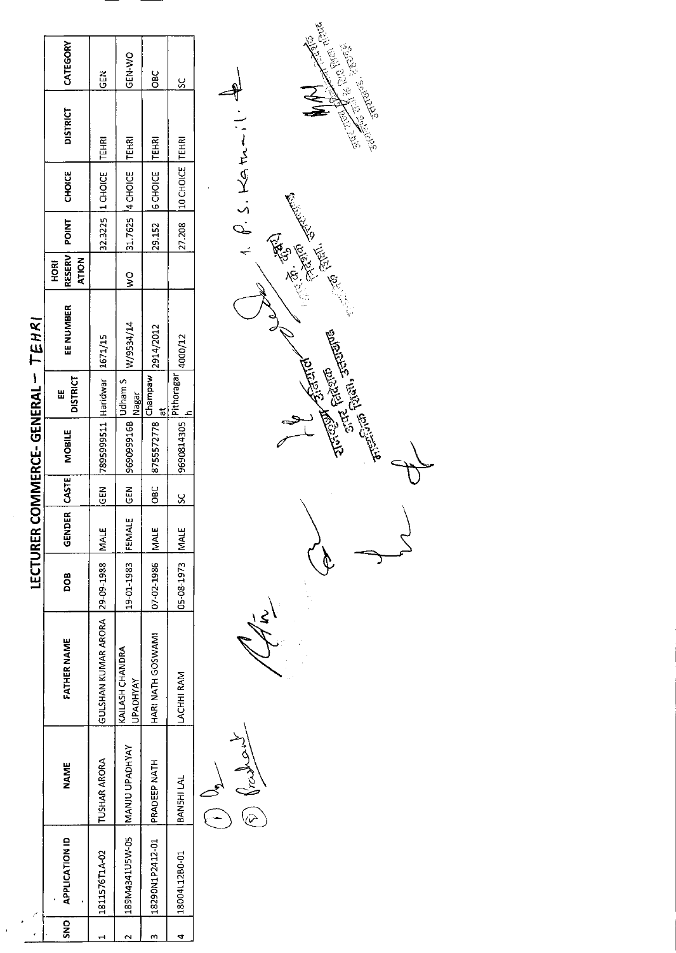|            |                               |              |                                         |                 |              |               | <b>IECTURER COMMERCE-GENERAL - TEHRI</b> |                                    |           |                                       |       |                            |                 |                  |
|------------|-------------------------------|--------------|-----------------------------------------|-----------------|--------------|---------------|------------------------------------------|------------------------------------|-----------|---------------------------------------|-------|----------------------------|-----------------|------------------|
| <b>SNO</b> | <b>APPLICATION ID</b>         | <b>NAME</b>  | FATHER NAME                             | <b>BOO</b>      | GENDER CASTE |               | MOBILE                                   | <b>DISTRICT</b><br>Ш               | EE NUMBER | <b>RESERV</b><br><b>ATION</b><br>HORI | POINT | <b>CHOICE</b>              | <b>DISTRICT</b> | CATEGORY         |
|            | 1811576T1A-02                 | TUSHAR ARORA | GULSHAN KUMAR ARORA   29-09-1988   MALE |                 |              |               | GEN 7895999511 Haridwar 1671/15          |                                    |           |                                       |       | 32.3225  1 CHOICE   TEHRI  |                 | $\frac{2}{5}$    |
|            | 189M4341U5W-05 MANJU UPADHYAY |              | KAILASH CHANDRA<br><b>VAYHDAPL</b>      |                 |              |               | 19-01-1983 FEMALE GEN 9690999168         | Udham S<br>Nagar                   | W/9534/14 | $\frac{1}{2}$                         |       | 31.7625 4 CHOICE TEHRI     |                 | <b>CEN-WO</b>    |
|            | 18290N1P2412-01 PRADEEP NATH  |              | HARI NATH GOSWAMI                       | 07-02-1986 MALE |              |               | OBC   8755572778 Champaw                 | $\frac{1}{10}$                     | 2914/2012 |                                       |       | 29.152   6 CHOICE   TEHRI  |                 | $rac{c}{\alpha}$ |
|            | 18004L12B0-01                 | BANSHILAL    | LACHHI RAM                              | 05-08-1973 MALE |              | $\frac{5}{2}$ | 9690814305                               | .  Pithoragar   <sub>4000/12</sub> |           |                                       |       | 27.208   10 CHOICE   TEHRI |                 | <u>ყ</u>         |
|            |                               | —<br>ति      |                                         |                 |              |               |                                          |                                    |           |                                       |       |                            |                 |                  |

 $\bar{ }$ 

Juellos) 3  $\begin{matrix} \mathbf{r} \\ \mathbf{r} \end{matrix}$ 

**The Contract of Contract of Contract of Contract of Contract of Contract of Contract of Contract of Contract o** The C.S. Katurity of C.S. (1) **ASSE** Electric Prince of the Control of the Control of the Control of the Control of the Control of the Control of the Control of the Control of the Control of the Control of the Control of the Control of the Control of the Cont  $\overline{\mathcal{F}}_L$  $\oint$